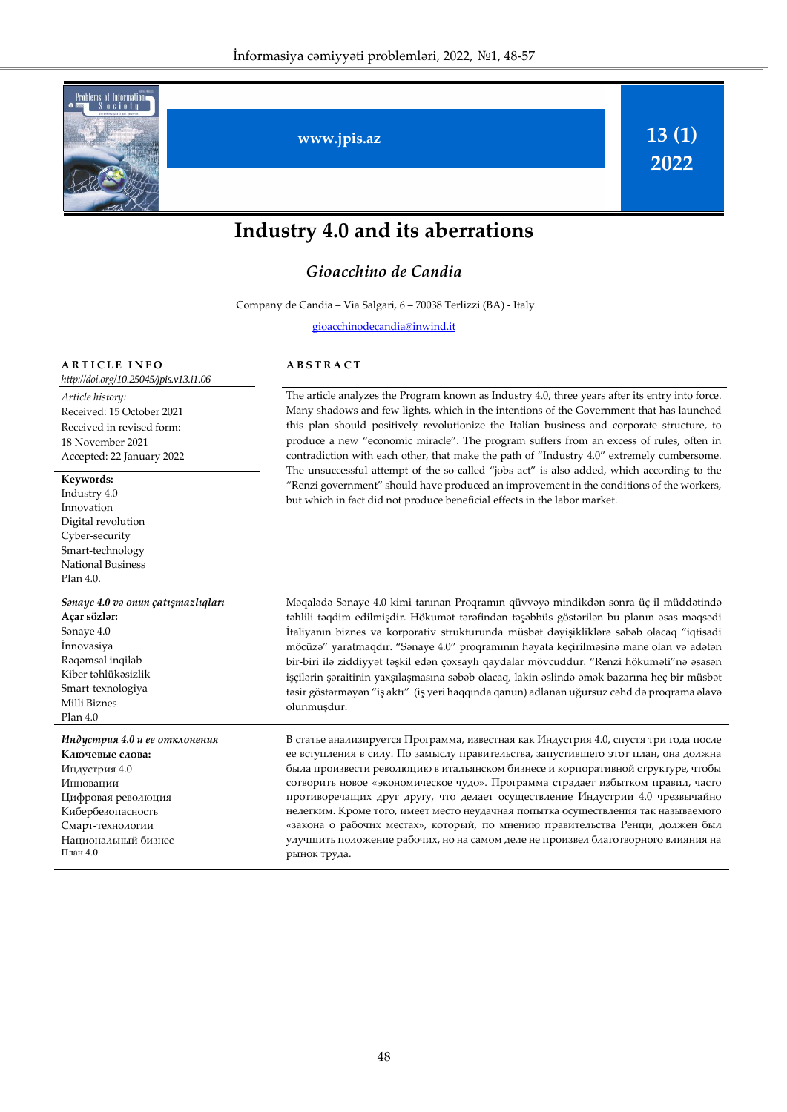

# **Industry 4.0 and its aberrations**

# *Gioacchino de Candia*

Company de Candia – Via Salgari, 6 – 70038 Terlizzi (BA) - Italy

[gioacchinodecandia@inwind.it](mailto:r.alguliev@gmail.com)

### **A R T I C L E I N F O**

*[http://doi.org/](http://doi.org/10.25045/jpis.v13.i1.04)10.25045/jpis.v13.i1.06 Article history:*  Received: 15 October 2021 Received in revised form: 18 November 2021 Accepted: 22 January 2022

#### **Keywords:**

Industry 4.0 Innovation Digital revolution Cyber-security Smart-technology National Business Plan 4.0.

**Açar sözlər:**  Sənaye 4.0 İnnovasiya Rəqəmsal inqilab Kiber təhlükəsizlik Smart-texnologiya Milli Biznes Plan 4.0

**Ключевые слова:**  Индустрия 4.0 Инновации Цифровая революция Кибербезопасность Смарт-технологии Национальный бизнес План 4.0

# **A B S T R A C T**

The article analyzes the Program known as Industry 4.0, three years after its entry into force. Many shadows and few lights, which in the intentions of the Government that has launched this plan should positively revolutionize the Italian business and corporate structure, to produce a new "economic miracle". The program suffers from an excess of rules, often in contradiction with each other, that make the path of "Industry 4.0" extremely cumbersome. The unsuccessful attempt of the so-called "jobs act" is also added, which according to the "Renzi government" should have produced an improvement in the conditions of the workers, but which in fact did not produce beneficial effects in the labor market.

*Sənaye 4.0 və onun çatışmazlıqları* Məqalədə Sənaye 4.0 kimi tanınan Proqramın qüvvəyə mindikdən sonra üç il müddətində təhlili təqdim edilmişdir. Hökumət tərəfindən təşəbbüs göstərilən bu planın əsas məqsədi İtaliyanın biznes və korporativ strukturunda müsbət dəyişikliklərə səbəb olacaq "iqtisadi möcüzə" yaratmaqdır. "Sənaye 4.0" proqramının həyata keçirilməsinə mane olan və adətən bir-biri ilə ziddiyyət təşkil edən çoxsaylı qaydalar mövcuddur. "Renzi hökuməti"nə əsasən işçilərin şəraitinin yaxşılaşmasına səbəb olacaq, lakin əslində əmək bazarına heç bir müsbət təsir göstərməyən "iş aktı" (iş yeri haqqında qanun) adlanan uğursuz cəhd də proqrama əlavə olunmuşdur.

*Индустрия 4.0 и ее отклонения* В статье анализируется Программа, известная как Индустрия 4.0, спустя три года после ее вступления в силу. По замыслу правительства, запустившего этот план, она должна была произвести революцию в итальянском бизнесе и корпоративной структуре, чтобы сотворить новое «экономическое чудо». Программа страдает избытком правил, часто противоречащих друг другу, что делает осуществление Индустрии 4.0 чрезвычайно нелегким. Кроме того, имеет место неудачная попытка осуществления так называемого «закона о рабочих местах», который, по мнению правительства Ренци, должен был улучшить положение рабочих, но на самом деле не произвел благотворного влияния на рынок труда.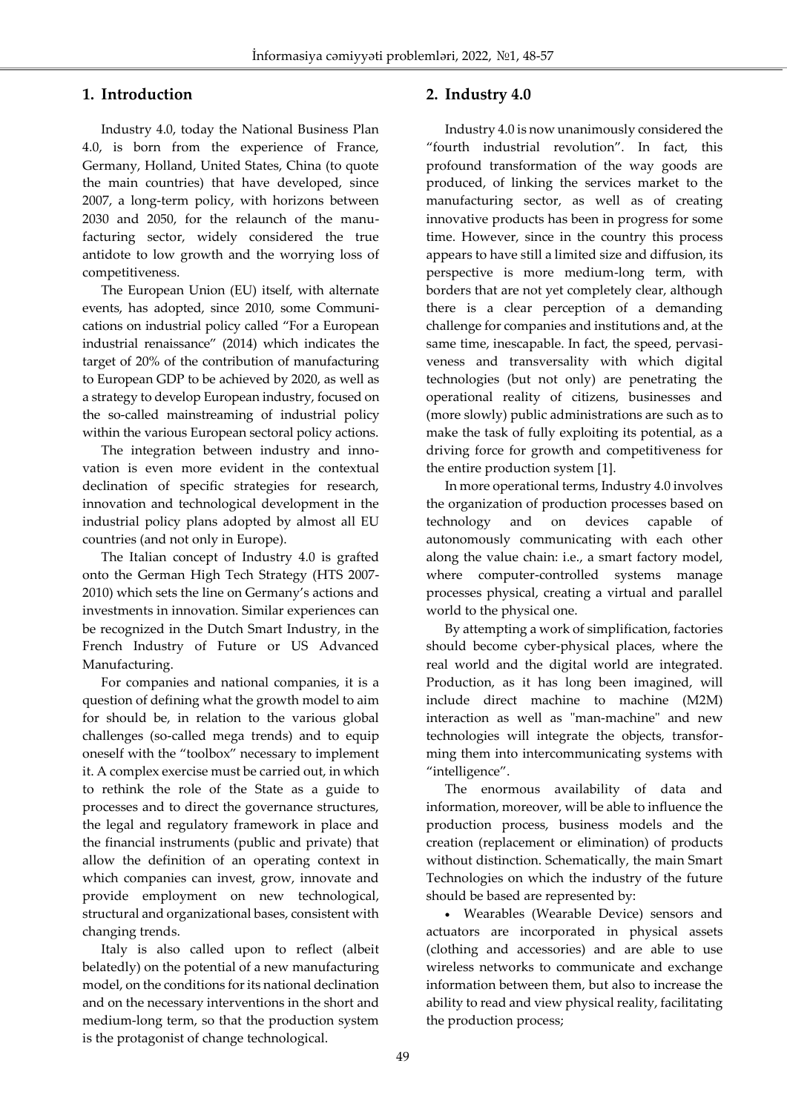# **1. Introduction**

Ī

Industry 4.0, today the National Business Plan 4.0, is born from the experience of France, Germany, Holland, United States, China (to quote the main countries) that have developed, since 2007, a long-term policy, with horizons between 2030 and 2050, for the relaunch of the manufacturing sector, widely considered the true antidote to low growth and the worrying loss of competitiveness.

The European Union (EU) itself, with alternate events, has adopted, since 2010, some Communications on industrial policy called "For a European industrial renaissance" (2014) which indicates the target of 20% of the contribution of manufacturing to European GDP to be achieved by 2020, as well as a strategy to develop European industry, focused on the so-called mainstreaming of industrial policy within the various European sectoral policy actions.

The integration between industry and innovation is even more evident in the contextual declination of specific strategies for research, innovation and technological development in the industrial policy plans adopted by almost all EU countries (and not only in Europe).

The Italian concept of Industry 4.0 is grafted onto the German High Tech Strategy (HTS 2007- 2010) which sets the line on Germany's actions and investments in innovation. Similar experiences can be recognized in the Dutch Smart Industry, in the French Industry of Future or US Advanced Manufacturing.

For companies and national companies, it is a question of defining what the growth model to aim for should be, in relation to the various global challenges (so-called mega trends) and to equip oneself with the "toolbox" necessary to implement it. A complex exercise must be carried out, in which to rethink the role of the State as a guide to processes and to direct the governance structures, the legal and regulatory framework in place and the financial instruments (public and private) that allow the definition of an operating context in which companies can invest, grow, innovate and provide employment on new technological, structural and organizational bases, consistent with changing trends.

Italy is also called upon to reflect (albeit belatedly) on the potential of a new manufacturing model, on the conditions for its national declination and on the necessary interventions in the short and medium-long term, so that the production system is the protagonist of change technological.

# **2. Industry 4.0**

Industry 4.0 is now unanimously considered the "fourth industrial revolution". In fact, this profound transformation of the way goods are produced, of linking the services market to the manufacturing sector, as well as of creating innovative products has been in progress for some time. However, since in the country this process appears to have still a limited size and diffusion, its perspective is more medium-long term, with borders that are not yet completely clear, although there is a clear perception of a demanding challenge for companies and institutions and, at the same time, inescapable. In fact, the speed, pervasiveness and transversality with which digital technologies (but not only) are penetrating the operational reality of citizens, businesses and (more slowly) public administrations are such as to make the task of fully exploiting its potential, as a driving force for growth and competitiveness for the entire production system [1].

In more operational terms, Industry 4.0 involves the organization of production processes based on technology and on devices capable of autonomously communicating with each other along the value chain: i.e., a smart factory model, where computer-controlled systems manage processes physical, creating a virtual and parallel world to the physical one.

By attempting a work of simplification, factories should become cyber-physical places, where the real world and the digital world are integrated. Production, as it has long been imagined, will include direct machine to machine (M2M) interaction as well as "man-machine" and new technologies will integrate the objects, transforming them into intercommunicating systems with "intelligence".

The enormous availability of data and information, moreover, will be able to influence the production process, business models and the creation (replacement or elimination) of products without distinction. Schematically, the main Smart Technologies on which the industry of the future should be based are represented by:

 Wearables (Wearable Device) sensors and actuators are incorporated in physical assets (clothing and accessories) and are able to use wireless networks to communicate and exchange information between them, but also to increase the ability to read and view physical reality, facilitating the production process;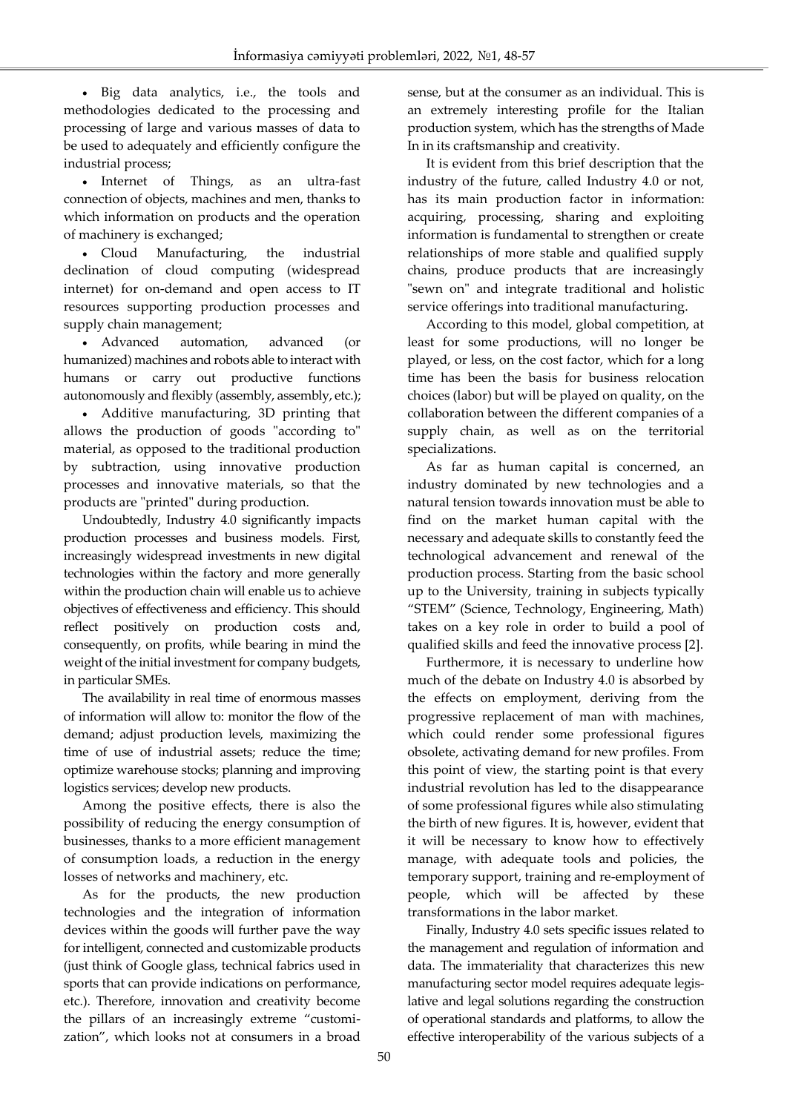Big data analytics, i.e., the tools and methodologies dedicated to the processing and processing of large and various masses of data to be used to adequately and efficiently configure the industrial process;

Ī

 Internet of Things, as an ultra-fast connection of objects, machines and men, thanks to which information on products and the operation of machinery is exchanged;

 Cloud Manufacturing, the industrial declination of cloud computing (widespread internet) for on-demand and open access to IT resources supporting production processes and supply chain management;

 Advanced automation, advanced (or humanized) machines and robots able to interact with humans or carry out productive functions autonomously and flexibly (assembly, assembly, etc.);

 Additive manufacturing, 3D printing that allows the production of goods "according to" material, as opposed to the traditional production by subtraction, using innovative production processes and innovative materials, so that the products are "printed" during production.

Undoubtedly, Industry 4.0 significantly impacts production processes and business models. First, increasingly widespread investments in new digital technologies within the factory and more generally within the production chain will enable us to achieve objectives of effectiveness and efficiency. This should reflect positively on production costs and, consequently, on profits, while bearing in mind the weight of the initial investment for company budgets, in particular SMEs.

The availability in real time of enormous masses of information will allow to: monitor the flow of the demand; adjust production levels, maximizing the time of use of industrial assets; reduce the time; optimize warehouse stocks; planning and improving logistics services; develop new products.

Among the positive effects, there is also the possibility of reducing the energy consumption of businesses, thanks to a more efficient management of consumption loads, a reduction in the energy losses of networks and machinery, etc.

As for the products, the new production technologies and the integration of information devices within the goods will further pave the way for intelligent, connected and customizable products (just think of Google glass, technical fabrics used in sports that can provide indications on performance, etc.). Therefore, innovation and creativity become the pillars of an increasingly extreme "customization", which looks not at consumers in a broad sense, but at the consumer as an individual. This is an extremely interesting profile for the Italian production system, which has the strengths of Made In in its craftsmanship and creativity.

It is evident from this brief description that the industry of the future, called Industry 4.0 or not, has its main production factor in information: acquiring, processing, sharing and exploiting information is fundamental to strengthen or create relationships of more stable and qualified supply chains, produce products that are increasingly "sewn on" and integrate traditional and holistic service offerings into traditional manufacturing.

According to this model, global competition, at least for some productions, will no longer be played, or less, on the cost factor, which for a long time has been the basis for business relocation choices (labor) but will be played on quality, on the collaboration between the different companies of a supply chain, as well as on the territorial specializations.

As far as human capital is concerned, an industry dominated by new technologies and a natural tension towards innovation must be able to find on the market human capital with the necessary and adequate skills to constantly feed the technological advancement and renewal of the production process. Starting from the basic school up to the University, training in subjects typically "STEM" (Science, Technology, Engineering, Math) takes on a key role in order to build a pool of qualified skills and feed the innovative process [2].

Furthermore, it is necessary to underline how much of the debate on Industry 4.0 is absorbed by the effects on employment, deriving from the progressive replacement of man with machines, which could render some professional figures obsolete, activating demand for new profiles. From this point of view, the starting point is that every industrial revolution has led to the disappearance of some professional figures while also stimulating the birth of new figures. It is, however, evident that it will be necessary to know how to effectively manage, with adequate tools and policies, the temporary support, training and re-employment of people, which will be affected by these transformations in the labor market.

Finally, Industry 4.0 sets specific issues related to the management and regulation of information and data. The immateriality that characterizes this new manufacturing sector model requires adequate legislative and legal solutions regarding the construction of operational standards and platforms, to allow the effective interoperability of the various subjects of a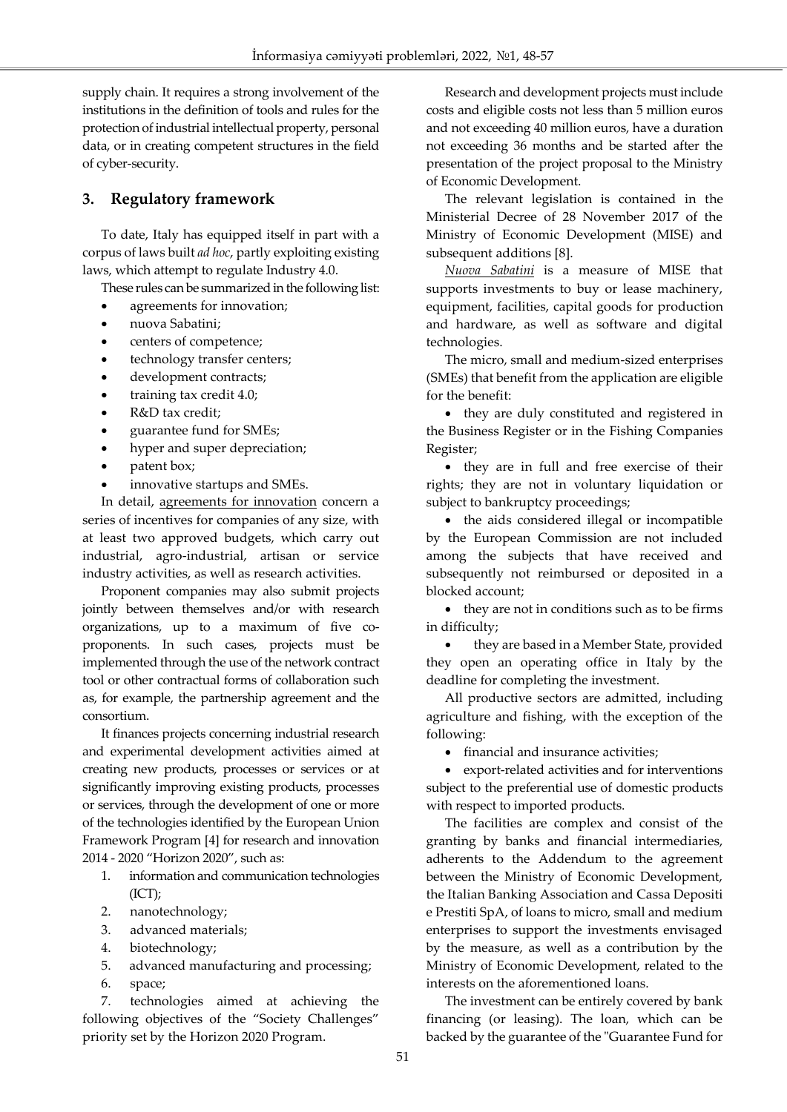supply chain. It requires a strong involvement of the institutions in the definition of tools and rules for the protection of industrial intellectual property, personal data, or in creating competent structures in the field of cyber-security.

# **3. Regulatory framework**

Ī

To date, Italy has equipped itself in part with a corpus of laws built *ad hoc*, partly exploiting existing laws, which attempt to regulate Industry 4.0.

These rules can be summarized in the following list:

- agreements for innovation;
- nuova Sabatini;
- centers of competence;
- technology transfer centers;
- development contracts;
- training tax credit 4.0;
- R&D tax credit;
- guarantee fund for SMEs;
- hyper and super depreciation;
- patent box;
- innovative startups and SMEs.

In detail, agreements for innovation concern a series of incentives for companies of any size, with at least two approved budgets, which carry out industrial, agro-industrial, artisan or service industry activities, as well as research activities.

Proponent companies may also submit projects jointly between themselves and/or with research organizations, up to a maximum of five coproponents. In such cases, projects must be implemented through the use of the network contract tool or other contractual forms of collaboration such as, for example, the partnership agreement and the consortium.

It finances projects concerning industrial research and experimental development activities aimed at creating new products, processes or services or at significantly improving existing products, processes or services, through the development of one or more of the technologies identified by the European Union Framework Program [4] for research and innovation 2014 - 2020 "Horizon 2020", such as:

- 1. information and communication technologies (ICT);
- 2. nanotechnology;
- 3. advanced materials;
- 4. biotechnology;
- 5. advanced manufacturing and processing;
- 6. space;

7. technologies aimed at achieving the following objectives of the "Society Challenges" priority set by the Horizon 2020 Program.

Research and development projects must include costs and eligible costs not less than 5 million euros and not exceeding 40 million euros, have a duration not exceeding 36 months and be started after the presentation of the project proposal to the Ministry of Economic Development.

The relevant legislation is contained in the Ministerial Decree of 28 November 2017 of the Ministry of Economic Development (MISE) and subsequent additions [8].

*Nuova Sabatini* is a measure of MISE that supports investments to buy or lease machinery, equipment, facilities, capital goods for production and hardware, as well as software and digital technologies.

The micro, small and medium-sized enterprises (SMEs) that benefit from the application are eligible for the benefit:

• they are duly constituted and registered in the Business Register or in the Fishing Companies Register;

 they are in full and free exercise of their rights; they are not in voluntary liquidation or subject to bankruptcy proceedings;

• the aids considered illegal or incompatible by the European Commission are not included among the subjects that have received and subsequently not reimbursed or deposited in a blocked account;

 they are not in conditions such as to be firms in difficulty;

 they are based in a Member State, provided they open an operating office in Italy by the deadline for completing the investment.

All productive sectors are admitted, including agriculture and fishing, with the exception of the following:

• financial and insurance activities;

 export-related activities and for interventions subject to the preferential use of domestic products with respect to imported products.

The facilities are complex and consist of the granting by banks and financial intermediaries, adherents to the Addendum to the agreement between the Ministry of Economic Development, the Italian Banking Association and Cassa Depositi e Prestiti SpA, of loans to micro, small and medium enterprises to support the investments envisaged by the measure, as well as a contribution by the Ministry of Economic Development, related to the interests on the aforementioned loans.

The investment can be entirely covered by bank financing (or leasing). The loan, which can be backed by the guarantee of the "Guarantee Fund for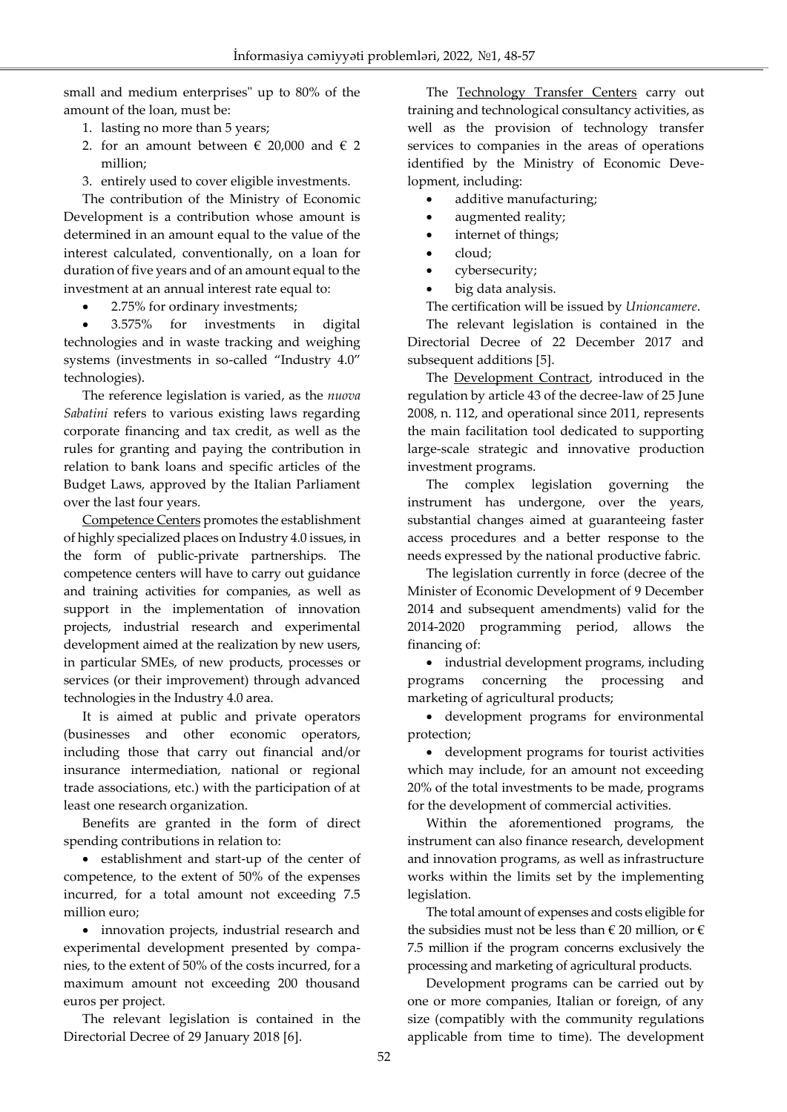small and medium enterprises" up to 80% of the amount of the loan, must be:

1. lasting no more than 5 years;

Ī

- 2. for an amount between  $\epsilon$  20,000 and  $\epsilon$  2 million;
- 3. entirely used to cover eligible investments.

The contribution of the Ministry of Economic Development is a contribution whose amount is determined in an amount equal to the value of the interest calculated, conventionally, on a loan for duration of five years and of an amount equal to the investment at an annual interest rate equal to:

• 2.75% for ordinary investments;

 3.575% for investments in digital technologies and in waste tracking and weighing systems (investments in so-called "Industry 4.0" technologies).

The reference legislation is varied, as the *nuova Sabatini* refers to various existing laws regarding corporate financing and tax credit, as well as the rules for granting and paying the contribution in relation to bank loans and specific articles of the Budget Laws, approved by the Italian Parliament over the last four years.

Competence Centers promotes the establishment of highly specialized places on Industry 4.0 issues, in the form of public-private partnerships. The competence centers will have to carry out guidance and training activities for companies, as well as support in the implementation of innovation projects, industrial research and experimental development aimed at the realization by new users, in particular SMEs, of new products, processes or services (or their improvement) through advanced technologies in the Industry 4.0 area.

It is aimed at public and private operators (businesses and other economic operators, including those that carry out financial and/or insurance intermediation, national or regional trade associations, etc.) with the participation of at least one research organization.

Benefits are granted in the form of direct spending contributions in relation to:

 establishment and start-up of the center of competence, to the extent of 50% of the expenses incurred, for a total amount not exceeding 7.5 million euro;

 innovation projects, industrial research and experimental development presented by companies, to the extent of 50% of the costs incurred, for a maximum amount not exceeding 200 thousand euros per project.

The relevant legislation is contained in the Directorial Decree of 29 January 2018 [6].

The Technology Transfer Centers carry out training and technological consultancy activities, as well as the provision of technology transfer services to companies in the areas of operations identified by the Ministry of Economic Development, including:

- additive manufacturing;
- augmented reality;
- internet of things;
- cloud;
- cybersecurity;
- big data analysis.

The certification will be issued by *Unioncamere*.

The relevant legislation is contained in the Directorial Decree of 22 December 2017 and subsequent additions [5].

The **Development Contract**, introduced in the regulation by article 43 of the decree-law of 25 June 2008, n. 112, and operational since 2011, represents the main facilitation tool dedicated to supporting large-scale strategic and innovative production investment programs.

The complex legislation governing the instrument has undergone, over the years, substantial changes aimed at guaranteeing faster access procedures and a better response to the needs expressed by the national productive fabric.

The legislation currently in force (decree of the Minister of Economic Development of 9 December 2014 and subsequent amendments) valid for the 2014-2020 programming period, allows the financing of:

• industrial development programs, including programs concerning the processing and marketing of agricultural products;

 development programs for environmental protection;

 development programs for tourist activities which may include, for an amount not exceeding 20% of the total investments to be made, programs for the development of commercial activities.

Within the aforementioned programs, the instrument can also finance research, development and innovation programs, as well as infrastructure works within the limits set by the implementing legislation.

The total amount of expenses and costs eligible for the subsidies must not be less than  $\in$  20 million, or  $\in$ 7.5 million if the program concerns exclusively the processing and marketing of agricultural products.

Development programs can be carried out by one or more companies, Italian or foreign, of any size (compatibly with the community regulations applicable from time to time). The development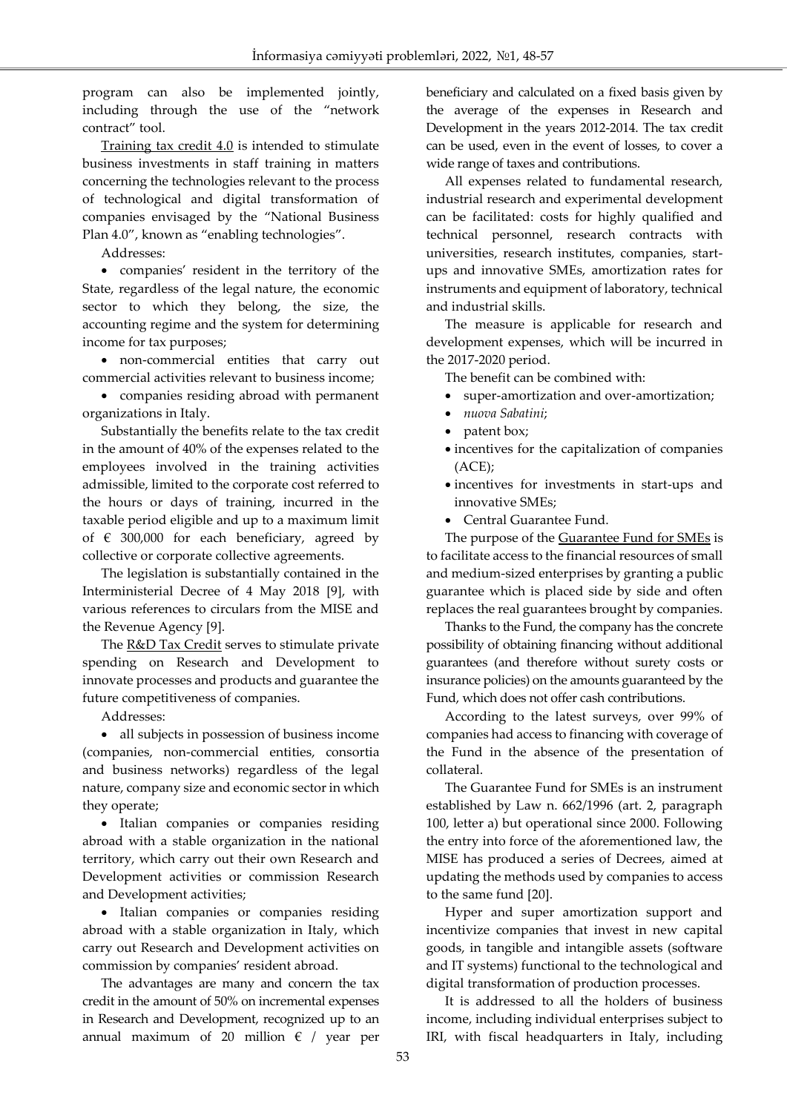program can also be implemented jointly, including through the use of the "network contract" tool.

Training tax credit 4.0 is intended to stimulate business investments in staff training in matters concerning the technologies relevant to the process of technological and digital transformation of companies envisaged by the "National Business Plan 4.0", known as "enabling technologies".

Addresses:

Ī

 companies' resident in the territory of the State, regardless of the legal nature, the economic sector to which they belong, the size, the accounting regime and the system for determining income for tax purposes;

 non-commercial entities that carry out commercial activities relevant to business income;

 companies residing abroad with permanent organizations in Italy.

Substantially the benefits relate to the tax credit in the amount of 40% of the expenses related to the employees involved in the training activities admissible, limited to the corporate cost referred to the hours or days of training, incurred in the taxable period eligible and up to a maximum limit of  $\epsilon$  300,000 for each beneficiary, agreed by collective or corporate collective agreements.

The legislation is substantially contained in the Interministerial Decree of 4 May 2018 [9], with various references to circulars from the MISE and the Revenue Agency [9].

The R&D Tax Credit serves to stimulate private spending on Research and Development to innovate processes and products and guarantee the future competitiveness of companies.

Addresses:

 all subjects in possession of business income (companies, non-commercial entities, consortia and business networks) regardless of the legal nature, company size and economic sector in which they operate;

 Italian companies or companies residing abroad with a stable organization in the national territory, which carry out their own Research and Development activities or commission Research and Development activities;

• Italian companies or companies residing abroad with a stable organization in Italy, which carry out Research and Development activities on commission by companies' resident abroad.

The advantages are many and concern the tax credit in the amount of 50% on incremental expenses in Research and Development, recognized up to an annual maximum of 20 million  $\epsilon$  / year per beneficiary and calculated on a fixed basis given by the average of the expenses in Research and Development in the years 2012-2014. The tax credit can be used, even in the event of losses, to cover a wide range of taxes and contributions.

All expenses related to fundamental research, industrial research and experimental development can be facilitated: costs for highly qualified and technical personnel, research contracts with universities, research institutes, companies, startups and innovative SMEs, amortization rates for instruments and equipment of laboratory, technical and industrial skills.

The measure is applicable for research and development expenses, which will be incurred in the 2017-2020 period.

The benefit can be combined with:

- super-amortization and over-amortization;
- *nuova Sabatini*;
- patent box;
- $\bullet$  incentives for the capitalization of companies (ACE);
- incentives for investments in start-ups and innovative SMEs;
- Central Guarantee Fund.

The purpose of the **Guarantee Fund for SMEs** is to facilitate access to the financial resources of small and medium-sized enterprises by granting a public guarantee which is placed side by side and often replaces the real guarantees brought by companies.

Thanks to the Fund, the company has the concrete possibility of obtaining financing without additional guarantees (and therefore without surety costs or insurance policies) on the amounts guaranteed by the Fund, which does not offer cash contributions.

According to the latest surveys, over 99% of companies had access to financing with coverage of the Fund in the absence of the presentation of collateral.

The Guarantee Fund for SMEs is an instrument established by Law n. 662/1996 (art. 2, paragraph 100, letter a) but operational since 2000. Following the entry into force of the aforementioned law, the MISE has produced a series of Decrees, aimed at updating the methods used by companies to access to the same fund [20].

Hyper and super amortization support and incentivize companies that invest in new capital goods, in tangible and intangible assets (software and IT systems) functional to the technological and digital transformation of production processes.

It is addressed to all the holders of business income, including individual enterprises subject to IRI, with fiscal headquarters in Italy, including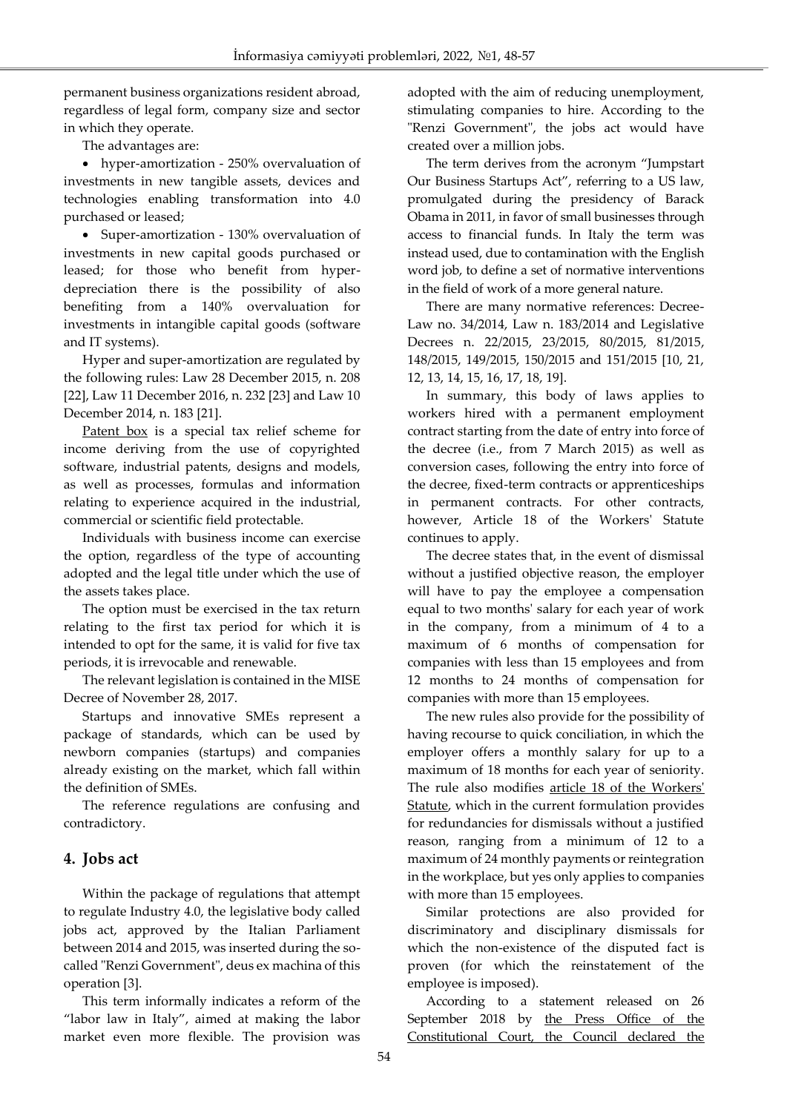permanent business organizations resident abroad, regardless of legal form, company size and sector in which they operate.

The advantages are:

Ī

 hyper-amortization - 250% overvaluation of investments in new tangible assets, devices and technologies enabling transformation into 4.0 purchased or leased;

• Super-amortization - 130% overvaluation of investments in new capital goods purchased or leased; for those who benefit from hyperdepreciation there is the possibility of also benefiting from a 140% overvaluation for investments in intangible capital goods (software and IT systems).

Hyper and super-amortization are regulated by the following rules: Law 28 December 2015, n. 208 [22], Law 11 December 2016, n. 232 [23] and Law 10 December 2014, n. 183 [21].

Patent box is a special tax relief scheme for income deriving from the use of copyrighted software, industrial patents, designs and models, as well as processes, formulas and information relating to experience acquired in the industrial, commercial or scientific field protectable.

Individuals with business income can exercise the option, regardless of the type of accounting adopted and the legal title under which the use of the assets takes place.

The option must be exercised in the tax return relating to the first tax period for which it is intended to opt for the same, it is valid for five tax periods, it is irrevocable and renewable.

The relevant legislation is contained in the MISE Decree of November 28, 2017.

Startups and innovative SMEs represent a package of standards, which can be used by newborn companies (startups) and companies already existing on the market, which fall within the definition of SMEs.

The reference regulations are confusing and contradictory.

# **4. Jobs act**

Within the package of regulations that attempt to regulate Industry 4.0, the legislative body called jobs act, approved by the Italian Parliament between 2014 and 2015, was inserted during the socalled "Renzi Government", deus ex machina of this operation [3].

This term informally indicates a reform of the "labor law in Italy", aimed at making the labor market even more flexible. The provision was adopted with the aim of reducing unemployment, stimulating companies to hire. According to the "Renzi Government", the jobs act would have created over a million jobs.

The term derives from the acronym "Jumpstart Our Business Startups Act", referring to a US law, promulgated during the presidency of Barack Obama in 2011, in favor of small businesses through access to financial funds. In Italy the term was instead used, due to contamination with the English word job, to define a set of normative interventions in the field of work of a more general nature.

There are many normative references: Decree-Law no. 34/2014, Law n. 183/2014 and Legislative Decrees n. 22/2015, 23/2015, 80/2015, 81/2015, 148/2015, 149/2015, 150/2015 and 151/2015 [10, 21, 12, 13, 14, 15, 16, 17, 18, 19].

In summary, this body of laws applies to workers hired with a permanent employment contract starting from the date of entry into force of the decree (i.e., from 7 March 2015) as well as conversion cases, following the entry into force of the decree, fixed-term contracts or apprenticeships in permanent contracts. For other contracts, however, Article 18 of the Workers' Statute continues to apply.

The decree states that, in the event of dismissal without a justified objective reason, the employer will have to pay the employee a compensation equal to two months' salary for each year of work in the company, from a minimum of 4 to a maximum of 6 months of compensation for companies with less than 15 employees and from 12 months to 24 months of compensation for companies with more than 15 employees.

The new rules also provide for the possibility of having recourse to quick conciliation, in which the employer offers a monthly salary for up to a maximum of 18 months for each year of seniority. The rule also modifies article 18 of the Workers' Statute, which in the current formulation provides for redundancies for dismissals without a justified reason, ranging from a minimum of 12 to a maximum of 24 monthly payments or reintegration in the workplace, but yes only applies to companies with more than 15 employees.

Similar protections are also provided for discriminatory and disciplinary dismissals for which the non-existence of the disputed fact is proven (for which the reinstatement of the employee is imposed).

According to a statement released on 26 September 2018 by the Press Office of the Constitutional Court, the Council declared the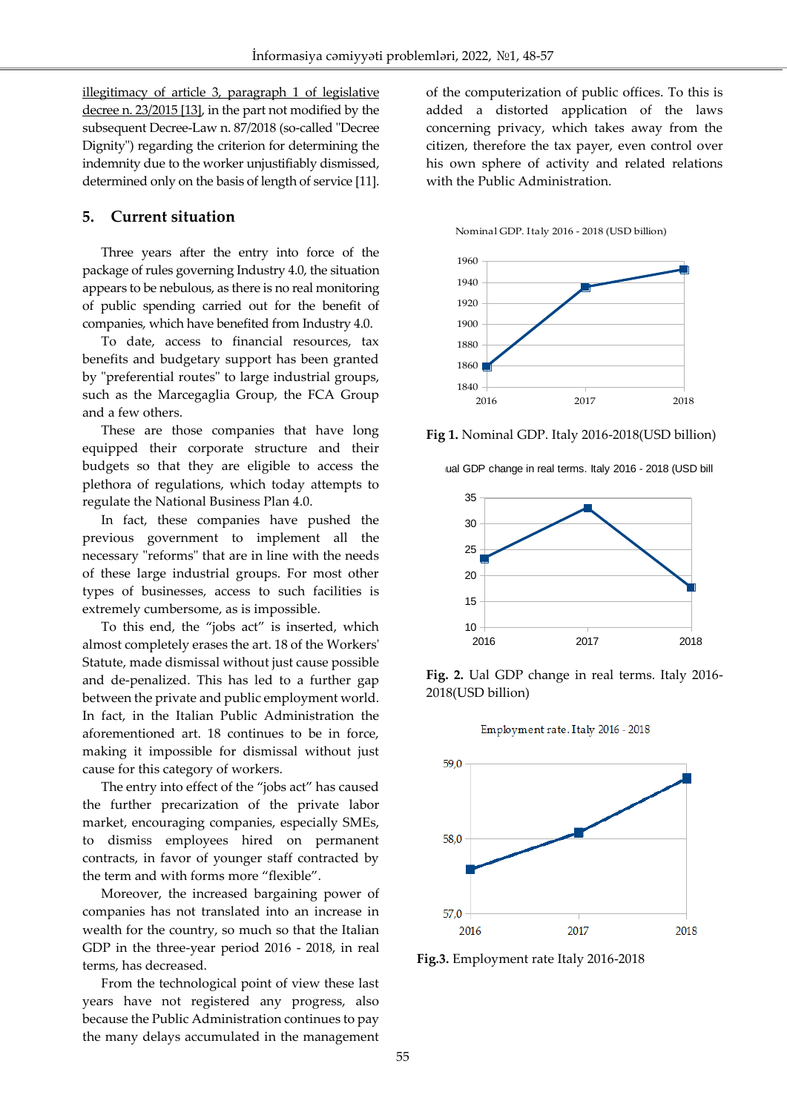illegitimacy of article 3, paragraph 1 of legislative decree n. 23/2015 [13], in the part not modified by the subsequent Decree-Law n. 87/2018 (so-called "Decree Dignity") regarding the criterion for determining the indemnity due to the worker unjustifiably dismissed, determined only on the basis of length of service [11].

## **5. Current situation**

Ī

Three years after the entry into force of the package of rules governing Industry 4.0, the situation appears to be nebulous, as there is no real monitoring of public spending carried out for the benefit of companies, which have benefited from Industry 4.0.

To date, access to financial resources, tax benefits and budgetary support has been granted by "preferential routes" to large industrial groups, such as the Marcegaglia Group, the FCA Group and a few others.

These are those companies that have long equipped their corporate structure and their budgets so that they are eligible to access the plethora of regulations, which today attempts to regulate the National Business Plan 4.0.

In fact, these companies have pushed the previous government to implement all the necessary "reforms" that are in line with the needs of these large industrial groups. For most other types of businesses, access to such facilities is extremely cumbersome, as is impossible.

To this end, the "jobs act" is inserted, which almost completely erases the art. 18 of the Workers' Statute, made dismissal without just cause possible and de-penalized. This has led to a further gap between the private and public employment world. In fact, in the Italian Public Administration the aforementioned art. 18 continues to be in force, making it impossible for dismissal without just cause for this category of workers.

The entry into effect of the "jobs act" has caused the further precarization of the private labor market, encouraging companies, especially SMEs, to dismiss employees hired on permanent contracts, in favor of younger staff contracted by the term and with forms more "flexible".

Moreover, the increased bargaining power of companies has not translated into an increase in wealth for the country, so much so that the Italian GDP in the three-year period 2016 - 2018, in real terms, has decreased.

From the technological point of view these last years have not registered any progress, also because the Public Administration continues to pay the many delays accumulated in the management of the computerization of public offices. To this is added a distorted application of the laws concerning privacy, which takes away from the citizen, therefore the tax payer, even control over his own sphere of activity and related relations with the Public Administration.





**Fig 1.** Nominal GDP. Italy 2016-2018(USD billion)





**Fig. 2.** Ual GDP change in real terms. Italy 2016- 2018(USD billion)





**Fig.3.** Employment rate Italy 2016-2018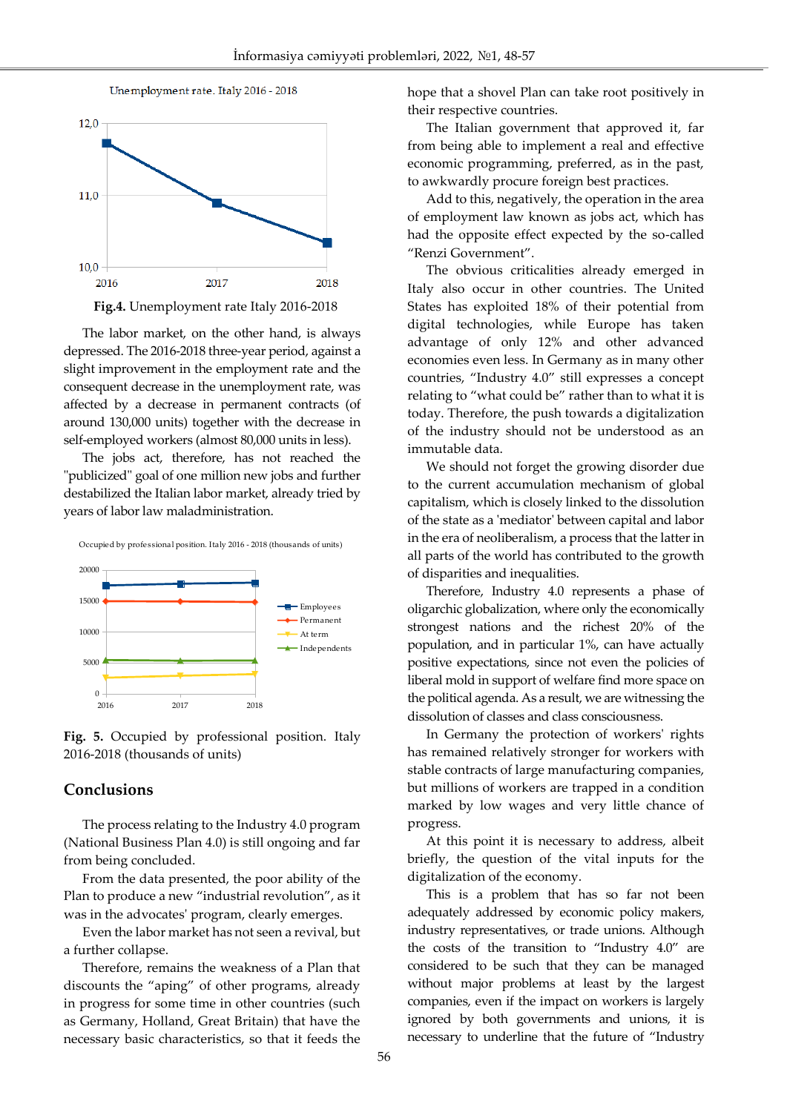

Ī



The labor market, on the other hand, is always depressed. The 2016-2018 three-year period, against a slight improvement in the employment rate and the consequent decrease in the unemployment rate, was affected by a decrease in permanent contracts (of around 130,000 units) together with the decrease in self-employed workers (almost 80,000 units in less).

The jobs act, therefore, has not reached the "publicized" goal of one million new jobs and further destabilized the Italian labor market, already tried by years of labor law maladministration.



Occupied by professional position. Italy 2016 - 2018 (thousands of units)

**Fig. 5.** Occupied by professional position. Italy 2016-2018 (thousands of units)

### **Conclusions**

The process relating to the Industry 4.0 program (National Business Plan 4.0) is still ongoing and far from being concluded.

From the data presented, the poor ability of the Plan to produce a new "industrial revolution", as it was in the advocates' program, clearly emerges.

Even the labor market has not seen a revival, but a further collapse.

Therefore, remains the weakness of a Plan that discounts the "aping" of other programs, already in progress for some time in other countries (such as Germany, Holland, Great Britain) that have the necessary basic characteristics, so that it feeds the hope that a shovel Plan can take root positively in their respective countries.

The Italian government that approved it, far from being able to implement a real and effective economic programming, preferred, as in the past, to awkwardly procure foreign best practices.

Add to this, negatively, the operation in the area of employment law known as jobs act, which has had the opposite effect expected by the so-called "Renzi Government".

The obvious criticalities already emerged in Italy also occur in other countries. The United States has exploited 18% of their potential from digital technologies, while Europe has taken advantage of only 12% and other advanced economies even less. In Germany as in many other countries, "Industry 4.0" still expresses a concept relating to "what could be" rather than to what it is today. Therefore, the push towards a digitalization of the industry should not be understood as an immutable data.

We should not forget the growing disorder due to the current accumulation mechanism of global capitalism, which is closely linked to the dissolution of the state as a 'mediator' between capital and labor in the era of neoliberalism, a process that the latter in all parts of the world has contributed to the growth of disparities and inequalities.

Therefore, Industry 4.0 represents a phase of oligarchic globalization, where only the economically strongest nations and the richest 20% of the population, and in particular 1%, can have actually positive expectations, since not even the policies of liberal mold in support of welfare find more space on the political agenda. As a result, we are witnessing the dissolution of classes and class consciousness.

In Germany the protection of workers' rights has remained relatively stronger for workers with stable contracts of large manufacturing companies, but millions of workers are trapped in a condition marked by low wages and very little chance of progress.

At this point it is necessary to address, albeit briefly, the question of the vital inputs for the digitalization of the economy.

This is a problem that has so far not been adequately addressed by economic policy makers, industry representatives, or trade unions. Although the costs of the transition to "Industry 4.0" are considered to be such that they can be managed without major problems at least by the largest companies, even if the impact on workers is largely ignored by both governments and unions, it is necessary to underline that the future of "Industry